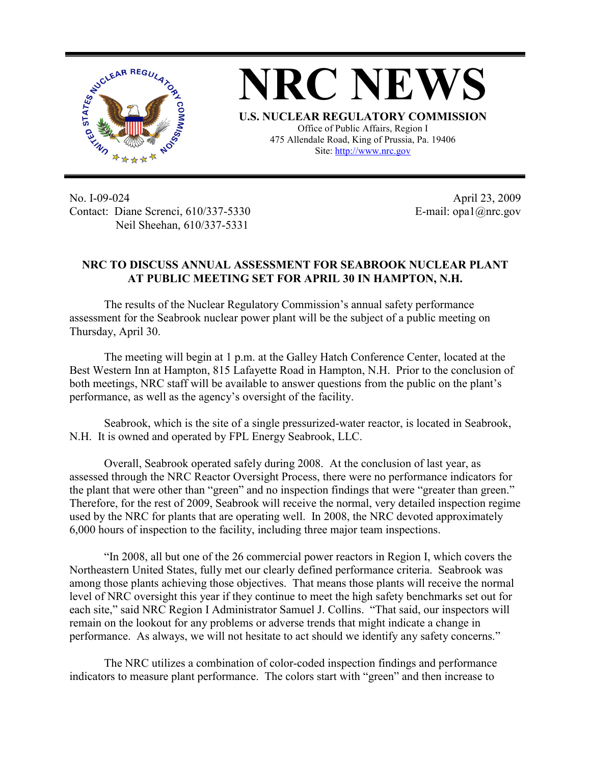

**NRC NEWS U.S. NUCLEAR REGULATORY COMMISSION** Office of Public Affairs, Region I 475 Allendale Road, King of Prussia, Pa. 19406

Site: http://www.nrc.gov

No. I-09-024 Contact: Diane Screnci, 610/337-5330 Neil Sheehan, 610/337-5331

April 23, 2009 E-mail: opa1@nrc.gov

## **NRC TO DISCUSS ANNUAL ASSESSMENT FOR SEABROOK NUCLEAR PLANT AT PUBLIC MEETING SET FOR APRIL 30 IN HAMPTON, N.H.**

The results of the Nuclear Regulatory Commission's annual safety performance assessment for the Seabrook nuclear power plant will be the subject of a public meeting on Thursday, April 30.

The meeting will begin at 1 p.m. at the Galley Hatch Conference Center, located at the Best Western Inn at Hampton, 815 Lafayette Road in Hampton, N.H. Prior to the conclusion of both meetings, NRC staff will be available to answer questions from the public on the plant's performance, as well as the agency's oversight of the facility.

Seabrook, which is the site of a single pressurized-water reactor, is located in Seabrook, N.H. It is owned and operated by FPL Energy Seabrook, LLC.

Overall, Seabrook operated safely during 2008. At the conclusion of last year, as assessed through the NRC Reactor Oversight Process, there were no performance indicators for the plant that were other than "green" and no inspection findings that were "greater than green." Therefore, for the rest of 2009, Seabrook will receive the normal, very detailed inspection regime used by the NRC for plants that are operating well. In 2008, the NRC devoted approximately 6,000 hours of inspection to the facility, including three major team inspections.

"In 2008, all but one of the 26 commercial power reactors in Region I, which covers the Northeastern United States, fully met our clearly defined performance criteria. Seabrook was among those plants achieving those objectives. That means those plants will receive the normal level of NRC oversight this year if they continue to meet the high safety benchmarks set out for each site," said NRC Region I Administrator Samuel J. Collins. "That said, our inspectors will remain on the lookout for any problems or adverse trends that might indicate a change in performance. As always, we will not hesitate to act should we identify any safety concerns."

The NRC utilizes a combination of color-coded inspection findings and performance indicators to measure plant performance. The colors start with "green" and then increase to